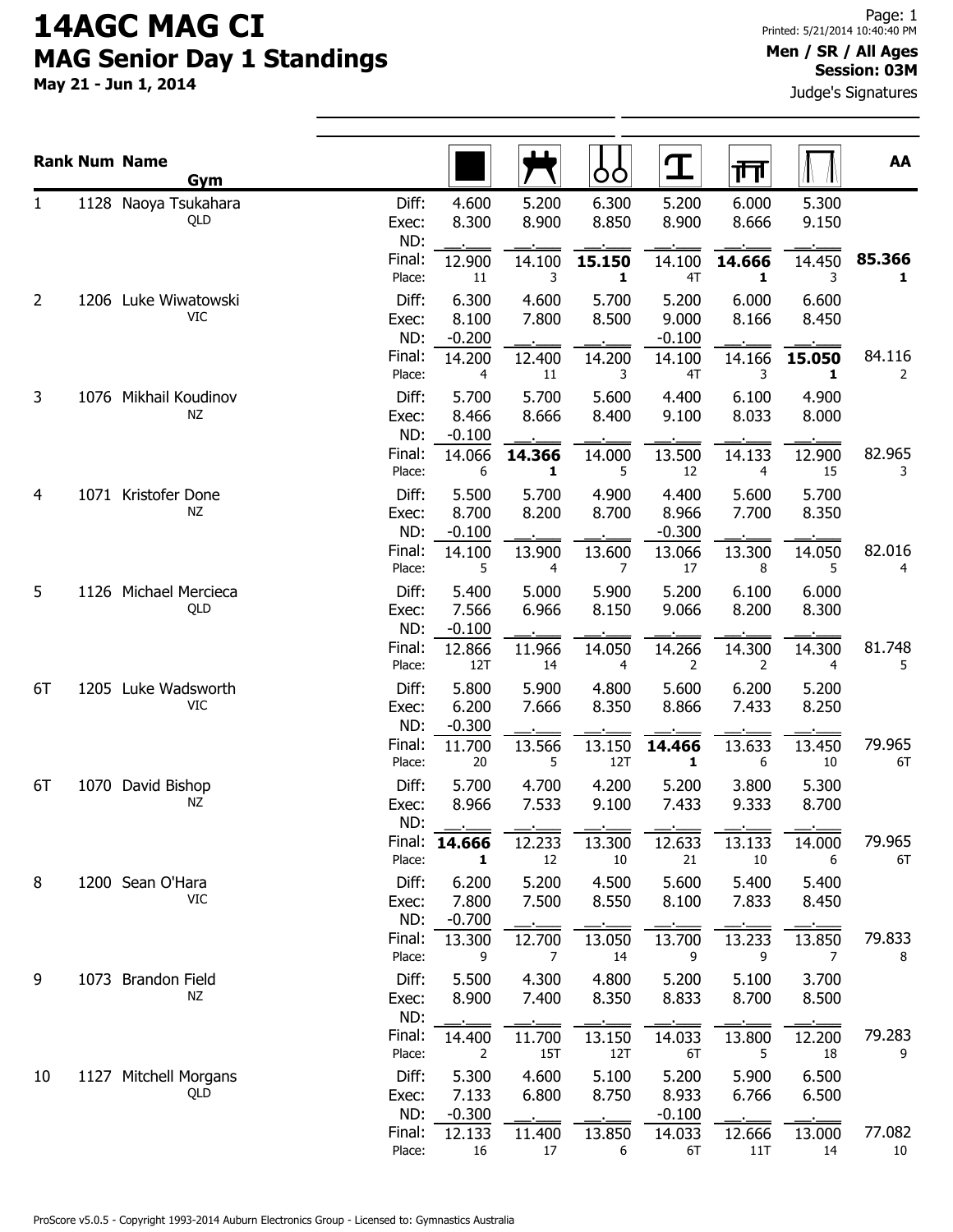## 14AGC MAG CI MAG Senior Day 1 Standings

May 21 - Jun 1, 2014

## Men / SR / All Ages Session: 03M

Judge's Signatures

|    | <b>Rank Num Name</b><br>Gym      |                       |                            |                          | OO                       | I                          | गा                       |                          | AA           |
|----|----------------------------------|-----------------------|----------------------------|--------------------------|--------------------------|----------------------------|--------------------------|--------------------------|--------------|
| 1  | 1128 Naoya Tsukahara<br>QLD      | Diff:<br>Exec:<br>ND: | 4.600<br>8.300             | 5.200<br>8.900           | 6.300<br>8.850           | 5.200<br>8.900             | 6.000<br>8.666           | 5.300<br>9.150           |              |
|    |                                  | Final:<br>Place:      | 12.900<br>$11\,$           | 14.100<br>3              | 15.150<br>1              | 14.100<br>4T               | 14.666<br>$\mathbf{1}$   | 14.450<br>3              | 85.366<br>1  |
| 2  | 1206 Luke Wiwatowski<br>VIC.     | Diff:<br>Exec:<br>ND: | 6.300<br>8.100<br>$-0.200$ | 4.600<br>7.800           | 5.700<br>8.500           | 5.200<br>9.000<br>$-0.100$ | 6.000<br>8.166           | 6.600<br>8.450           |              |
|    |                                  | Final:<br>Place:      | 14.200<br>4                | 12.400<br>11             | 14.200<br>3              | 14.100<br>4T               | 14.166<br>3              | 15.050<br>1              | 84.116<br>2  |
| 3  | 1076 Mikhail Koudinov<br>ΝZ      | Diff:<br>Exec:<br>ND: | 5.700<br>8.466<br>$-0.100$ | 5.700<br>8.666           | 5.600<br>8.400           | 4.400<br>9.100             | 6.100<br>8.033           | 4.900<br>8.000           |              |
|    |                                  | Final:<br>Place:      | 14.066<br>6                | 14.366<br>1              | 14.000<br>5              | 13.500<br>12               | 14.133<br>$\overline{4}$ | 12.900<br>15             | 82.965<br>3  |
| 4  | 1071 Kristofer Done<br><b>NZ</b> | Diff:<br>Exec:<br>ND: | 5.500<br>8.700<br>$-0.100$ | 5.700<br>8.200           | 4.900<br>8.700           | 4.400<br>8.966<br>$-0.300$ | 5.600<br>7.700           | 5.700<br>8.350           |              |
|    |                                  | Final:<br>Place:      | 14.100<br>5                | 13.900<br>4              | 13.600<br>7              | 13.066<br>17               | 13.300<br>8              | 14.050<br>5              | 82.016<br>4  |
| 5  | 1126 Michael Mercieca<br>QLD     | Diff:<br>Exec:<br>ND: | 5.400<br>7.566<br>$-0.100$ | 5.000<br>6.966           | 5.900<br>8.150           | 5.200<br>9.066             | 6.100<br>8.200           | 6.000<br>8.300           |              |
|    |                                  | Final:<br>Place:      | 12.866<br>12T              | 11.966<br>14             | 14.050<br>$\overline{4}$ | 14.266<br>2                | 14.300<br>2              | 14.300<br>$\overline{4}$ | 81.748<br>5  |
| 6T | 1205 Luke Wadsworth<br>VIC       | Diff:<br>Exec:<br>ND: | 5.800<br>6.200<br>$-0.300$ | 5.900<br>7.666           | 4.800<br>8.350           | 5.600<br>8.866             | 6.200<br>7.433           | 5.200<br>8.250           |              |
|    |                                  | Final:<br>Place:      | 11.700<br>20               | 13.566<br>5              | 13.150<br>12T            | 14.466<br>$\mathbf{1}$     | 13.633<br>6              | 13.450<br>10             | 79.965<br>6T |
| 6T | 1070 David Bishop<br>ΝZ          | Diff:<br>Exec:<br>ND: | 5.700<br>8.966             | 4.700<br>7.533           | 4.200<br>9.100           | 5.200<br>7.433             | 3.800<br>9.333           | 5.300<br>8.700           |              |
|    |                                  | Place:                | Final: 14.666<br>1         | 12.233<br>12             | 13.300<br>10             | 12.633<br>21               | 13.133<br>10             | 14.000<br>6              | 79.965<br>6T |
| 8  | 1200 Sean O'Hara<br><b>VIC</b>   | Diff:<br>Exec:<br>ND: | 6.200<br>7.800<br>$-0.700$ | 5.200<br>7.500           | 4.500<br>8.550           | 5.600<br>8.100             | 5.400<br>7.833           | 5.400<br>8.450           |              |
|    |                                  | Final:<br>Place:      | 13.300<br>9                | 12.700<br>$\overline{7}$ | 13.050<br>14             | 13.700<br>9                | 13.233<br>9              | 13.850<br>7              | 79.833<br>8  |
| 9  | 1073 Brandon Field<br>ΝZ         | Diff:<br>Exec:<br>ND: | 5.500<br>8.900             | 4.300<br>7.400           | 4.800<br>8.350           | 5.200<br>8.833             | 5.100<br>8.700           | 3.700<br>8.500           |              |
|    |                                  | Final:<br>Place:      | 14.400<br>2                | 11.700<br>15T            | 13.150<br>12T            | 14.033<br>6T               | 13.800<br>5              | 12.200<br>18             | 79.283<br>9  |
| 10 | 1127 Mitchell Morgans<br>QLD     | Diff:<br>Exec:<br>ND: | 5.300<br>7.133<br>$-0.300$ | 4.600<br>6.800           | 5.100<br>8.750           | 5.200<br>8.933<br>$-0.100$ | 5.900<br>6.766           | 6.500<br>6.500           |              |
|    |                                  | Final:<br>Place:      | 12.133<br>16               | 11.400<br>17             | 13.850<br>6              | 14.033<br>6T               | 12.666<br>11T            | 13.000<br>14             | 77.082<br>10 |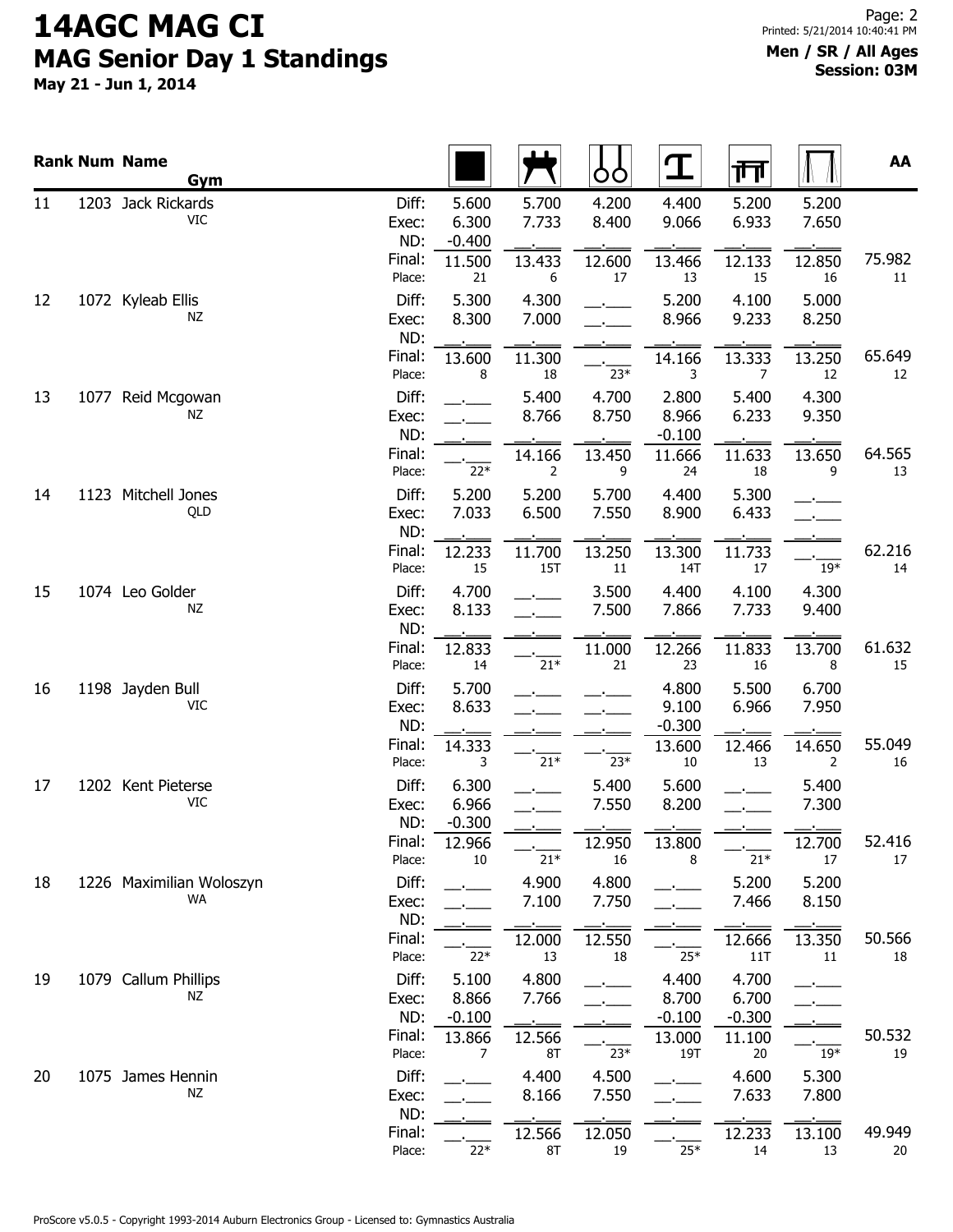## 14AGC MAG CI MAG Senior Day 1 Standings

May 21 - Jun 1, 2014

|    | <b>Rank Num Name</b><br>Gym      |                                 |                                      |                          | OO                       | $\mathbf T$                | गि                         |                          | AA           |
|----|----------------------------------|---------------------------------|--------------------------------------|--------------------------|--------------------------|----------------------------|----------------------------|--------------------------|--------------|
| 11 | 1203 Jack Rickards<br><b>VIC</b> | Diff:<br>Exec:<br>ND:<br>Final: | 5.600<br>6.300<br>$-0.400$<br>11.500 | 5.700<br>7.733<br>13.433 | 4.200<br>8.400<br>12.600 | 4.400<br>9.066<br>13.466   | 5.200<br>6.933<br>12.133   | 5.200<br>7.650<br>12.850 | 75.982       |
| 12 | 1072 Kyleab Ellis<br>ΝZ          | Place:<br>Diff:<br>Exec:<br>ND: | 21<br>5.300<br>8.300                 | 6<br>4.300<br>7.000      | 17                       | 13<br>5.200<br>8.966       | 15<br>4.100<br>9.233       | 16<br>5.000<br>8.250     | 11           |
|    |                                  | Final:<br>Place:                | 13.600<br>8                          | 11.300<br>18             | $23*$                    | 14.166<br>3                | 13.333<br>7                | 13.250<br>12             | 65.649<br>12 |
| 13 | 1077 Reid Mcgowan<br>ΝZ          | Diff:<br>Exec:<br>ND:           |                                      | 5.400<br>8.766           | 4.700<br>8.750           | 2.800<br>8.966<br>$-0.100$ | 5.400<br>6.233             | 4.300<br>9.350           |              |
|    |                                  | Final:<br>Place:                | $22*$                                | 14.166<br>2              | 13.450<br>9              | 11.666<br>24               | 11.633<br>18               | 13.650<br>9              | 64.565<br>13 |
| 14 | 1123 Mitchell Jones<br>QLD       | Diff:<br>Exec:<br>ND:           | 5.200<br>7.033                       | 5.200<br>6.500           | 5.700<br>7.550           | 4.400<br>8.900             | 5.300<br>6.433             |                          |              |
|    |                                  | Final:<br>Place:                | 12.233<br>15                         | 11.700<br>15T            | 13.250<br>11             | 13.300<br>14T              | 11.733<br>17               | $19*$                    | 62.216<br>14 |
| 15 | 1074 Leo Golder<br>NZ            | Diff:<br>Exec:<br>ND:           | 4.700<br>8.133                       |                          | 3.500<br>7.500           | 4.400<br>7.866             | 4.100<br>7.733             | 4.300<br>9.400           |              |
|    |                                  | Final:<br>Place:                | 12.833<br>14                         | $21^{\ast}$              | 11.000<br>21             | 12.266<br>23               | 11.833<br>16               | 13.700<br>8              | 61.632<br>15 |
| 16 | 1198 Jayden Bull<br>VIC          | Diff:<br>Exec:<br>ND:           | 5.700<br>8.633                       |                          |                          | 4.800<br>9.100<br>$-0.300$ | 5.500<br>6.966             | 6.700<br>7.950           |              |
|    |                                  | Final:<br>Place:                | 14.333<br>3                          | $21*$                    | $23*$                    | 13.600<br>10               | 12.466<br>13               | 14.650<br>$\overline{2}$ | 55.049<br>16 |
| 17 | 1202 Kent Pieterse<br>VIC        | Diff:<br>Exec:<br>ND:           | 6.300<br>6.966<br>$-0.300$           |                          | 5.400<br>7.550           | 5.600<br>8.200             |                            | 5.400<br>7.300           |              |
|    |                                  | Final:<br>Place:                | 12.966<br>$10\,$                     | $21*$                    | 12.950<br>16             | 13.800<br>8                | $21*$                      | 12.700<br>$17\,$         | 52.416<br>17 |
| 18 | 1226 Maximilian Woloszyn<br>WA   | Diff:<br>Exec:<br>ND:           |                                      | 4.900<br>7.100           | 4.800<br>7.750           |                            | 5.200<br>7.466             | 5.200<br>8.150           |              |
|    |                                  | Final:<br>Place:                | $22*$                                | 12.000<br>13             | 12.550<br>18             | $25*$                      | 12.666<br>11T              | 13.350<br>$11\,$         | 50.566<br>18 |
| 19 | 1079 Callum Phillips<br>ΝZ       | Diff:<br>Exec:<br>ND:           | 5.100<br>8.866<br>$-0.100$           | 4.800<br>7.766           |                          | 4.400<br>8.700<br>$-0.100$ | 4.700<br>6.700<br>$-0.300$ |                          |              |
|    |                                  | Final:<br>Place:                | 13.866<br>7                          | 12.566<br>8T             | $23*$                    | 13.000<br>19T              | 11.100<br>20               | $19*$                    | 50.532<br>19 |
| 20 | 1075 James Hennin<br>ΝZ          | Diff:<br>Exec:<br>ND:           |                                      | 4.400<br>8.166           | 4.500<br>7.550           |                            | 4.600<br>7.633             | 5.300<br>7.800           |              |
|    |                                  | Final:<br>Place:                | $22*$                                | 12.566<br>8T             | 12.050<br>19             | $25*$                      | 12.233<br>14               | 13.100<br>13             | 49.949<br>20 |